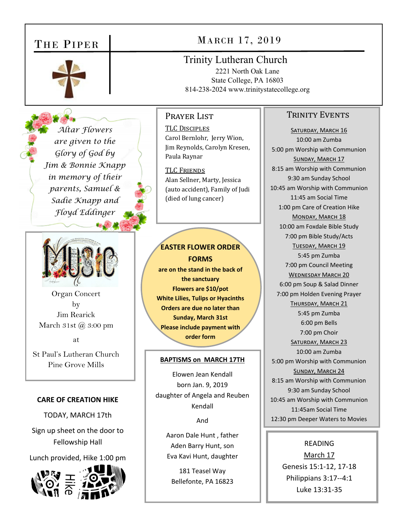# THE PIPER



# MARCH 17, 2019

Trinity Lutheran Church 2221 North Oak Lane State College, PA 16803 814-238-2024 www.trinitystatecollege.org

## PRAYER LIST

*Altar Flowers are given to the Glory of God by Jim & Bonnie Knapp in memory of their parents, Samuel & Sadie Knapp and Floyd Eddinger* 



Organ Concert by Jim Rearick March  $31st$   $\omega$   $3:00$  pm

at

St Paul's Lutheran Church Pine Grove Mills **BAPTISMS on MARCH 17TH** 

#### **CARE OF CREATION HIKE**

TODAY, MARCH 17th

Sign up sheet on the door to Fellowship Hall

Lunch provided, Hike 1:00 pm



TLC DISCIPLES Carol Bernlohr, Jerry Wion, Jim Reynolds, Carolyn Kresen, Paula Raynar

TLC FRIENDS Alan Sellner, Marty, Jessica (auto accident), Family of Judi (died of lung cancer)

# **EASTER FLOWER ORDER FORMS**

**are on the stand in the back of the sanctuary Flowers are \$10/pot White Lilies, Tulips or Hyacinths Orders are due no later than Sunday, March 31st Please include payment with order form** 

Elowen Jean Kendall born Jan. 9, 2019 daughter of Angela and Reuben Kendall

And

Aaron Dale Hunt , father Aden Barry Hunt, son Eva Kavi Hunt, daughter

181 Teasel Way Bellefonte, PA 16823

## TRINITY EVENTS

SATURDAY, MARCH 16 10:00 am Zumba 5:00 pm Worship with Communion SUNDAY, MARCH 17 8:15 am Worship with Communion 9:30 am Sunday School 10:45 am Worship with Communion 11:45 am Social Time 1:00 pm Care of Creation Hike MONDAY, MARCH 18 10:00 am Foxdale Bible Study 7:00 pm Bible Study/Acts TUESDAY, MARCH 19 5:45 pm Zumba 7:00 pm Council Meeting WEDNESDAY MARCH 20 6:00 pm Soup & Salad Dinner 7:00 pm Holden Evening Prayer THURSDAY, MARCH 21 5:45 pm Zumba 6:00 pm Bells 7:00 pm Choir SATURDAY, MARCH 23 10:00 am Zumba 5:00 pm Worship with Communion SUNDAY, MARCH 24 8:15 am Worship with Communion 9:30 am Sunday School 10:45 am Worship with Communion 11:45am Social Time 12:30 pm Deeper Waters to Movies

## READING

March 17 Genesis 15:1‐12, 17‐18 Philippians 3:17‐‐4:1 Luke 13:31‐35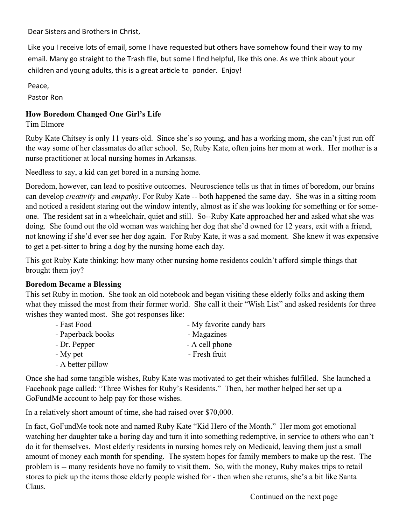Dear Sisters and Brothers in Christ,

Like you I receive lots of email, some I have requested but others have somehow found their way to my email. Many go straight to the Trash file, but some I find helpful, like this one. As we think about your children and young adults, this is a great article to ponder. Enjoy!

Peace,

Pastor Ron

## **How Boredom Changed One Girl's Life**

Tim Elmore

Ruby Kate Chitsey is only 11 years-old. Since she's so young, and has a working mom, she can't just run off the way some of her classmates do after school. So, Ruby Kate, often joins her mom at work. Her mother is a nurse practitioner at local nursing homes in Arkansas.

Needless to say, a kid can get bored in a nursing home.

Boredom, however, can lead to positive outcomes. Neuroscience tells us that in times of boredom, our brains can develop *creativity* and *empathy*. For Ruby Kate -- both happened the same day. She was in a sitting room and noticed a resident staring out the window intently, almost as if she was looking for something or for someone. The resident sat in a wheelchair, quiet and still. So--Ruby Kate approached her and asked what she was doing. She found out the old woman was watching her dog that she'd owned for 12 years, exit with a friend, not knowing if she'd ever see her dog again. For Ruby Kate, it was a sad moment. She knew it was expensive to get a pet-sitter to bring a dog by the nursing home each day.

This got Ruby Kate thinking: how many other nursing home residents couldn't afford simple things that brought them joy?

## **Boredom Became a Blessing**

This set Ruby in motion. She took an old notebook and began visiting these elderly folks and asking them what they missed the most from their former world. She call it their "Wish List" and asked residents for three wishes they wanted most. She got responses like:

- Fast Food My favorite candy bars - Paperback books - Magazines - Dr. Pepper - A cell phone - My pet Fresh fruit
- A better pillow

Once she had some tangible wishes, Ruby Kate was motivated to get their whishes fulfilled. She launched a Facebook page called: "Three Wishes for Ruby's Residents." Then, her mother helped her set up a GoFundMe account to help pay for those wishes.

In a relatively short amount of time, she had raised over \$70,000.

In fact, GoFundMe took note and named Ruby Kate "Kid Hero of the Month." Her mom got emotional watching her daughter take a boring day and turn it into something redemptive, in service to others who can't do it for themselves. Most elderly residents in nursing homes rely on Medicaid, leaving them just a small amount of money each month for spending. The system hopes for family members to make up the rest. The problem is -- many residents hove no family to visit them. So, with the money, Ruby makes trips to retail stores to pick up the items those elderly people wished for - then when she returns, she's a bit like Santa Claus.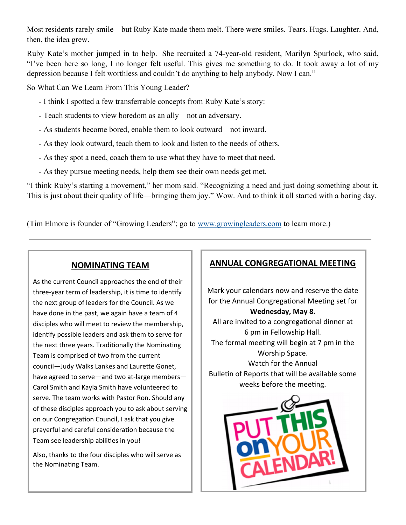Most residents rarely smile—but Ruby Kate made them melt. There were smiles. Tears. Hugs. Laughter. And, then, the idea grew.

Ruby Kate's mother jumped in to help. She recruited a 74-year-old resident, Marilyn Spurlock, who said, "I've been here so long, I no longer felt useful. This gives me something to do. It took away a lot of my depression because I felt worthless and couldn't do anything to help anybody. Now I can."

So What Can We Learn From This Young Leader?

- I think I spotted a few transferrable concepts from Ruby Kate's story:
- Teach students to view boredom as an ally—not an adversary.
- As students become bored, enable them to look outward—not inward.
- As they look outward, teach them to look and listen to the needs of others.
- As they spot a need, coach them to use what they have to meet that need.
- As they pursue meeting needs, help them see their own needs get met.

"I think Ruby's starting a movement," her mom said. "Recognizing a need and just doing something about it. This is just about their quality of life—bringing them joy." Wow. And to think it all started with a boring day.

(Tim Elmore is founder of "Growing Leaders"; go to www.growingleaders.com to learn more.)

# **NOMINATING TEAM**

As the current Council approaches the end of their three-year term of leadership, it is time to identify the next group of leaders for the Council. As we have done in the past, we again have a team of 4 disciples who will meet to review the membership, identify possible leaders and ask them to serve for the next three years. Traditionally the Nominating Team is comprised of two from the current council—Judy Walks Lankes and Laurette Gonet, have agreed to serve—and two at‐large members— Carol Smith and Kayla Smith have volunteered to serve. The team works with Pastor Ron. Should any of these disciples approach you to ask about serving on our Congregation Council, I ask that you give prayerful and careful consideration because the Team see leadership abilities in you!

Also, thanks to the four disciples who will serve as the Nominating Team.

# **ANNUAL CONGREGATIONAL MEETING**

Mark your calendars now and reserve the date for the Annual Congregational Meeting set for **Wednesday, May 8.**  All are invited to a congregational dinner at 6 pm in Fellowship Hall. The formal meeting will begin at 7 pm in the Worship Space. Watch for the Annual Bulletin of Reports that will be available some weeks before the meeting.